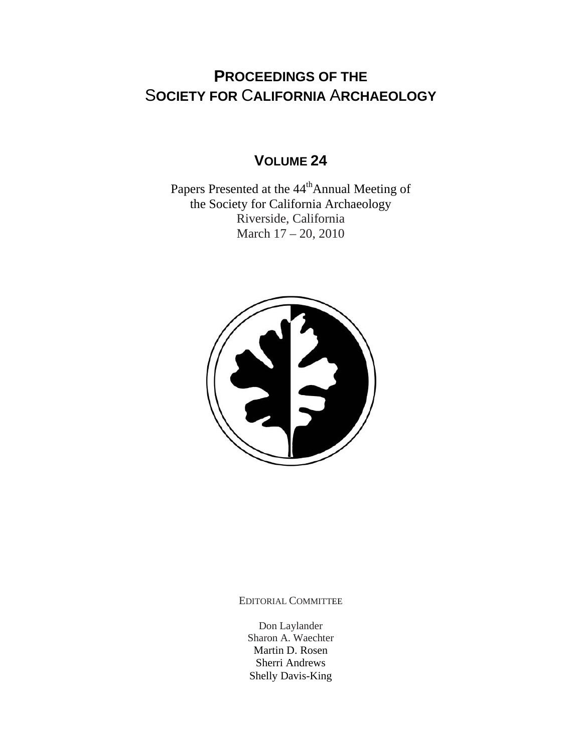# **PROCEEDINGS OF THE** S**OCIETY FOR** C**ALIFORNIA** A**RCHAEOLOGY**

## **VOLUME 24**

Papers Presented at the  $44<sup>th</sup>$ Annual Meeting of the Society for California Archaeology Riverside, California March 17 – 20, 2010



EDITORIAL COMMITTEE

Don Laylander Sharon A. Waechter Martin D. Rosen Sherri Andrews Shelly Davis-King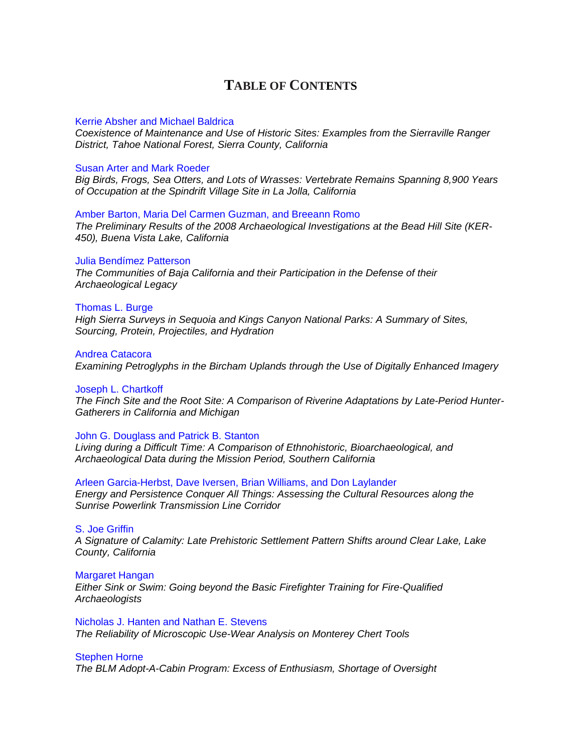## **TABLE OF CONTENTS**

### Kerrie Absher and Michael Baldrica

*[Coexistence of Maintenance and Use of Historic Sites: Examples from the Sierraville Ranger](http://www.scahome.org/publications/proceedings/Proceedings.24Absher.pdf)  District, Tahoe National Forest, Sierra County, California* 

### Susan Arter and Mark Roeder

*[Big Birds, Frogs, Sea Otters, and Lots of Wrasses: Vertebrate Remains Spanning 8,900 Years](http://www.scahome.org/publications/proceedings/Proceedings.24Arter.pdf)  of Occupation at the Spindrift Village Site in La Jolla, California* 

### Amber Barton, Maria Del Carmen Guzman, and Breeann Romo

*[The Preliminary Results of the 2008 Archaeological Investigations at the Bead Hill Site \(KER-](http://www.scahome.org/publications/proceedings/Proceedings.24Barton.pdf)450), Buena Vista Lake, California* 

### Julia Bendímez Patterson

*[The Communities of Baja California and their Participation in the Defense of their](http://www.scahome.org/publications/proceedings/Proceedings.24Bendimez.pdf)  Archaeological Legacy* 

### Thomas L. Burge

*[High Sierra Surveys in Sequoia and Kings Canyon National Parks: A Summary of Sites,](http://www.scahome.org/publications/proceedings/Proceedings.24Burge.pdf)  Sourcing, Protein, Projectiles, and Hydration* 

### Andrea Catacora

*[Examining Petroglyphs in the Bircham Uplands through the Use of Digitally Enhanced Imagery](http://www.scahome.org/publications/proceedings/Proceedings.24Catacora.pdf)* 

### Joseph L. Chartkoff

*[The Finch Site and the Root Site: A Comparison of Riverine Adaptations by Late-Period Hunter-](http://www.scahome.org/publications/proceedings/Proceedings.24Chartkoff.pdf)Gatherers in California and Michigan* 

### John G. Douglass and Patrick B. Stanton

*[Living during a Difficult Time: A Comparison of Ethnohistoric, Bioarchaeological, and](http://www.scahome.org/publications/proceedings/Proceedings.24Douglass.pdf)  Archaeological Data during the Mission Period, Southern California* 

### Arleen Garcia-Herbst, Dave Iversen, Brian Williams, and Don Laylander

*[Energy and Persistence Conquer All Things: Assessing the Cultural Resources along the](http://www.scahome.org/publications/proceedings/Proceedings.24Garcia-Herbst.pdf)  Sunrise Powerlink Transmission Line Corridor* 

### S. Joe Griffin

*[A Signature of Calamity: Late Prehistoric Settlement Pattern Shifts around Clear Lake, Lake](http://www.scahome.org/publications/proceedings/Proceedings.24Griffin.pdf)  County, California* 

### Margaret Hangan

*[Either Sink or Swim: Going beyond the Basic Firefighter Training for Fire-Qualified](http://www.scahome.org/publications/proceedings/Proceedings.24Hangan.pdf)  Archaeologists* 

### Nicholas J. Hanten and Nathan E. Stevens *[The Reliability of Microscopic Use-Wear Analysis on Monterey Chert Tools](http://www.scahome.org/publications/proceedings/Proceedings.24Hanten.pdf)*

### Stephen Horne

*[The BLM Adopt-A-Cabin Program: Excess of Enthusiasm, Shortage of Oversight](http://www.scahome.org/publications/proceedings/Proceedings.24Horne.pdf)*